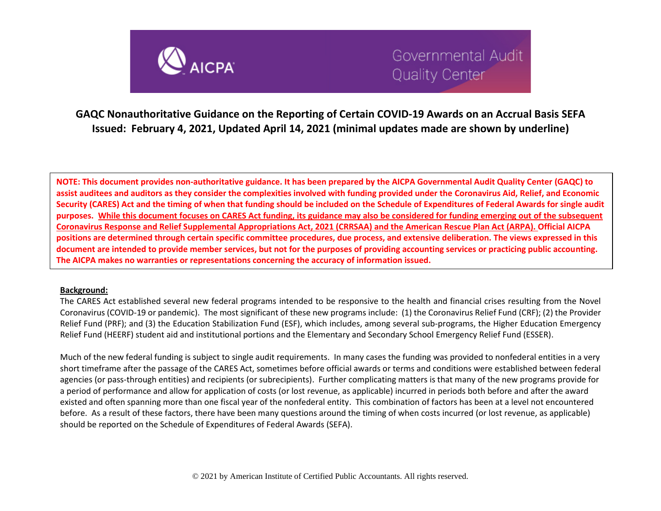

**GAQC Nonauthoritative Guidance on the Reporting of Certain COVID-19 Awards on an Accrual Basis SEFA Issued: February 4, 2021, Updated April 14, 2021 (minimal updates made are shown by underline)**

**NOTE: This document provides non-authoritative guidance. It has been prepared by the AICPA Governmental Audit Quality Center (GAQC) to assist auditees and auditors as they consider the complexities involved with funding provided under the Coronavirus Aid, Relief, and Economic Security (CARES) Act and the timing of when that funding should be included on the Schedule of Expenditures of Federal Awards for single audit purposes. While this document focuses on CARES Act funding, its guidance may also be considered for funding emerging out of the subsequent Coronavirus Response and Relief Supplemental Appropriations Act, 2021 (CRRSAA) and the American Rescue Plan Act (ARPA). Official AICPA positions are determined through certain specific committee procedures, due process, and extensive deliberation. The views expressed in this document are intended to provide member services, but not for the purposes of providing accounting services or practicing public accounting. The AICPA makes no warranties or representations concerning the accuracy of information issued.** 

#### **Background:**

The CARES Act established several new federal programs intended to be responsive to the health and financial crises resulting from the Novel Coronavirus (COVID-19 or pandemic). The most significant of these new programs include: (1) the Coronavirus Relief Fund (CRF); (2) the Provider Relief Fund (PRF); and (3) the Education Stabilization Fund (ESF), which includes, among several sub-programs, the Higher Education Emergency Relief Fund (HEERF) student aid and institutional portions and the Elementary and Secondary School Emergency Relief Fund (ESSER).

Much of the new federal funding is subject to single audit requirements. In many cases the funding was provided to nonfederal entities in a very short timeframe after the passage of the CARES Act, sometimes before official awards or terms and conditions were established between federal agencies (or pass-through entities) and recipients (or subrecipients). Further complicating matters is that many of the new programs provide for a period of performance and allow for application of costs (or lost revenue, as applicable) incurred in periods both before and after the award existed and often spanning more than one fiscal year of the nonfederal entity. This combination of factors has been at a level not encountered before. As a result of these factors, there have been many questions around the timing of when costs incurred (or lost revenue, as applicable) should be reported on the Schedule of Expenditures of Federal Awards (SEFA).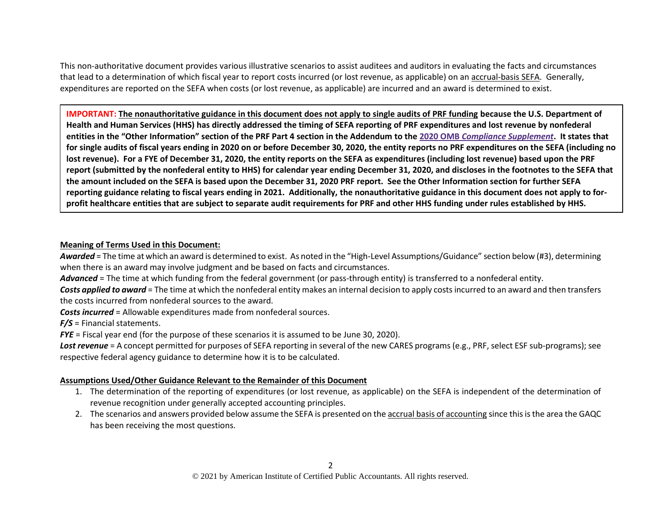This non-authoritative document provides various illustrative scenarios to assist auditees and auditors in evaluating the facts and circumstances that lead to a determination of which fiscal year to report costs incurred (or lost revenue, as applicable) on an accrual-basis SEFA. Generally, expenditures are reported on the SEFA when costs (or lost revenue, as applicable) are incurred and an award is determined to exist.

**IMPORTANT: The nonauthoritative guidance in this document does not apply to single audits of PRF funding because the U.S. Department of Health and Human Services (HHS) has directly addressed the timing of SEFA reporting of PRF expenditures and lost revenue by nonfederal entities in the "Other Information" section of the PRF Part 4 section in the Addendum to the 2020 OMB** *[Compliance Supplement](https://www.aicpa.org/interestareas/governmentalauditquality/resources/singleaudit/2020-omb-compliance-supplement.html)***. It states that for single audits of fiscal years ending in 2020 on or before December 30, 2020, the entity reports no PRF expenditures on the SEFA (including no lost revenue). For a FYE of December 31, 2020, the entity reports on the SEFA as expenditures (including lost revenue) based upon the PRF report (submitted by the nonfederal entity to HHS) for calendar year ending December 31, 2020, and discloses in the footnotes to the SEFA that the amount included on the SEFA is based upon the December 31, 2020 PRF report. See the Other Information section for further SEFA reporting guidance relating to fiscal years ending in 2021. Additionally, the nonauthoritative guidance in this document does not apply to forprofit healthcare entities that are subject to separate audit requirements for PRF and other HHS funding under rules established by HHS.**

### **Meaning of Terms Used in this Document:**

*Awarded* = The time at which an award is determined to exist. As noted in the "High-Level Assumptions/Guidance" section below (#3), determining when there is an award may involve judgment and be based on facts and circumstances.

*Advanced* = The time at which funding from the federal government (or pass-through entity) is transferred to a nonfederal entity.

*Costs applied to award* = The time at which the nonfederal entity makes an internal decision to apply costsincurred to an award and then transfers the costs incurred from nonfederal sources to the award.

*Costs incurred* = Allowable expenditures made from nonfederal sources.

*F/S* = Financial statements.

*FYE* = Fiscal year end (for the purpose of these scenarios it is assumed to be June 30, 2020).

*Lost revenue* = A concept permitted for purposes of SEFA reporting in several of the new CARES programs (e.g., PRF, select ESF sub-programs); see respective federal agency guidance to determine how it is to be calculated.

### **Assumptions Used/Other Guidance Relevant to the Remainder of this Document**

- 1. The determination of the reporting of expenditures (or lost revenue, as applicable) on the SEFA is independent of the determination of revenue recognition under generally accepted accounting principles.
- 2. The scenarios and answers provided below assume the SEFA is presented on the accrual basis of accounting since thisis the area the GAQC has been receiving the most questions.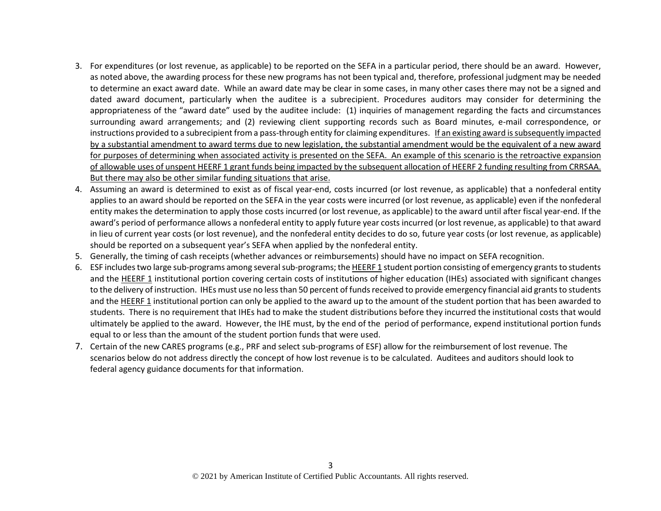- 3. For expenditures (or lost revenue, as applicable) to be reported on the SEFA in a particular period, there should be an award. However, as noted above, the awarding process for these new programs has not been typical and, therefore, professional judgment may be needed to determine an exact award date. While an award date may be clear in some cases, in many other cases there may not be a signed and dated award document, particularly when the auditee is a subrecipient. Procedures auditors may consider for determining the appropriateness of the "award date" used by the auditee include: (1) inquiries of management regarding the facts and circumstances surrounding award arrangements; and (2) reviewing client supporting records such as Board minutes, e-mail correspondence, or instructions provided to a subrecipient from a pass-through entity for claiming expenditures. If an existing award is subsequently impacted by a substantial amendment to award terms due to new legislation, the substantial amendment would be the equivalent of a new award for purposes of determining when associated activity is presented on the SEFA. An example of this scenario is the retroactive expansion of allowable uses of unspent HEERF 1 grant funds being impacted by the subsequent allocation of HEERF 2 funding resulting from CRRSAA. But there may also be other similar funding situations that arise.
- 4. Assuming an award is determined to exist as of fiscal year-end, costs incurred (or lost revenue, as applicable) that a nonfederal entity applies to an award should be reported on the SEFA in the year costs were incurred (or lost revenue, as applicable) even if the nonfederal entity makes the determination to apply those costs incurred (or lost revenue, as applicable) to the award until after fiscal year-end. If the award's period of performance allows a nonfederal entity to apply future year costs incurred (or lost revenue, as applicable) to that award in lieu of current year costs (or lost revenue), and the nonfederal entity decides to do so, future year costs (or lost revenue, as applicable) should be reported on a subsequent year's SEFA when applied by the nonfederal entity.
- 5. Generally, the timing of cash receipts (whether advances or reimbursements) should have no impact on SEFA recognition.
- 6. ESF includes two large sub-programs among several sub-programs; the HEERF 1 student portion consisting of emergency grants to students and the HEERF 1 institutional portion covering certain costs of institutions of higher education (IHEs) associated with significant changes to the delivery of instruction. IHEs must use no less than 50 percent of funds received to provide emergency financial aid grants to students and the HEERF 1 institutional portion can only be applied to the award up to the amount of the student portion that has been awarded to students. There is no requirement that IHEs had to make the student distributions before they incurred the institutional costs that would ultimately be applied to the award. However, the IHE must, by the end of the period of performance, expend institutional portion funds equal to or less than the amount of the student portion funds that were used.
- 7. Certain of the new CARES programs (e.g., PRF and select sub-programs of ESF) allow for the reimbursement of lost revenue. The scenarios below do not address directly the concept of how lost revenue is to be calculated. Auditees and auditors should look to federal agency guidance documents for that information.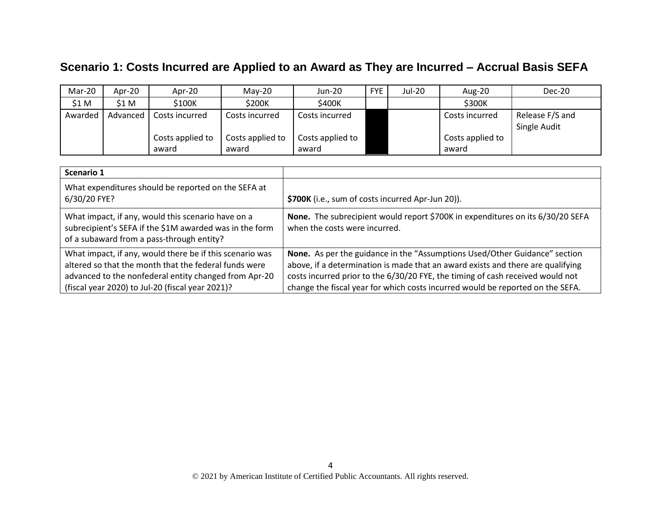# **Scenario 1: Costs Incurred are Applied to an Award as They are Incurred – Accrual Basis SEFA**

| Mar-20  | Apr-20   | Apr-20                    | $Mav-20$                  | Jun-20                    | <b>FYE</b> | Jul-20 | Aug-20                    | Dec-20                          |
|---------|----------|---------------------------|---------------------------|---------------------------|------------|--------|---------------------------|---------------------------------|
| \$1 M   | \$1 M    | \$100K                    | \$200K                    | \$400K                    |            |        | \$300K                    |                                 |
| Awarded | Advanced | Costs incurred            | Costs incurred            | Costs incurred            |            |        | Costs incurred            | Release F/S and<br>Single Audit |
|         |          | Costs applied to<br>award | Costs applied to<br>award | Costs applied to<br>award |            |        | Costs applied to<br>award |                                 |

| Scenario 1                                                                                                                                                                                                                     |                                                                                                                                                                                                                                                                                                                                   |
|--------------------------------------------------------------------------------------------------------------------------------------------------------------------------------------------------------------------------------|-----------------------------------------------------------------------------------------------------------------------------------------------------------------------------------------------------------------------------------------------------------------------------------------------------------------------------------|
| What expenditures should be reported on the SEFA at<br>6/30/20 FYE?                                                                                                                                                            | \$700K (i.e., sum of costs incurred Apr-Jun 20)).                                                                                                                                                                                                                                                                                 |
| What impact, if any, would this scenario have on a<br>subrecipient's SEFA if the \$1M awarded was in the form<br>of a subaward from a pass-through entity?                                                                     | None. The subrecipient would report \$700K in expenditures on its 6/30/20 SEFA<br>when the costs were incurred.                                                                                                                                                                                                                   |
| What impact, if any, would there be if this scenario was<br>altered so that the month that the federal funds were<br>advanced to the nonfederal entity changed from Apr-20<br>(fiscal year 2020) to Jul-20 (fiscal year 2021)? | None. As per the guidance in the "Assumptions Used/Other Guidance" section<br>above, if a determination is made that an award exists and there are qualifying<br>costs incurred prior to the 6/30/20 FYE, the timing of cash received would not<br>change the fiscal year for which costs incurred would be reported on the SEFA. |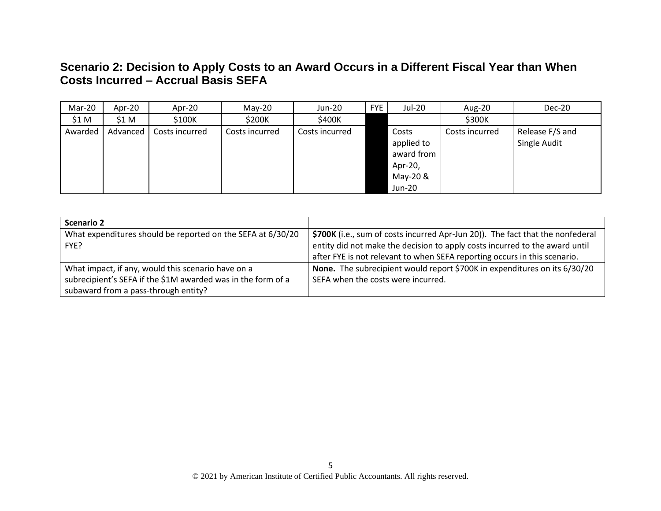## **Scenario 2: Decision to Apply Costs to an Award Occurs in a Different Fiscal Year than When Costs Incurred – Accrual Basis SEFA**

| Mar-20  | Apr-20   | Apr-20         | $May-20$       | Jun-20         | <b>FYE</b> | Jul-20                                                                    | <b>Aug-20</b>  | Dec-20                          |
|---------|----------|----------------|----------------|----------------|------------|---------------------------------------------------------------------------|----------------|---------------------------------|
| \$1 M   | \$1 M    | \$100K         | \$200K         | \$400K         |            |                                                                           | \$300K         |                                 |
| Awarded | Advanced | Costs incurred | Costs incurred | Costs incurred |            | Costs<br>applied to<br>award from<br>Apr-20,<br>May-20 &<br><b>Jun-20</b> | Costs incurred | Release F/S and<br>Single Audit |

| Scenario 2                                                   |                                                                                |
|--------------------------------------------------------------|--------------------------------------------------------------------------------|
| What expenditures should be reported on the SEFA at 6/30/20  | \$700K (i.e., sum of costs incurred Apr-Jun 20)). The fact that the nonfederal |
| FYE?                                                         | entity did not make the decision to apply costs incurred to the award until    |
|                                                              | after FYE is not relevant to when SEFA reporting occurs in this scenario.      |
| What impact, if any, would this scenario have on a           | None. The subrecipient would report \$700K in expenditures on its 6/30/20      |
| subrecipient's SEFA if the \$1M awarded was in the form of a | SEFA when the costs were incurred.                                             |
| subaward from a pass-through entity?                         |                                                                                |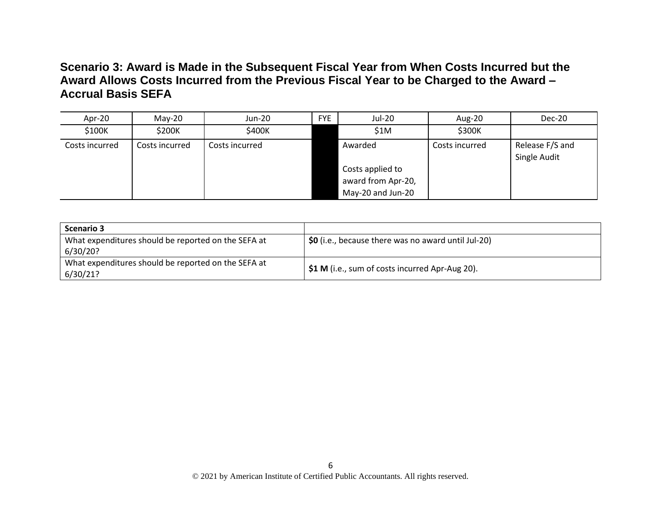### **Scenario 3: Award is Made in the Subsequent Fiscal Year from When Costs Incurred but the Award Allows Costs Incurred from the Previous Fiscal Year to be Charged to the Award – Accrual Basis SEFA**

| Apr-20         | $Mav-20$       | Jun-20         | <b>FYE</b> | Jul-20             | Aug-20         | Dec-20                          |
|----------------|----------------|----------------|------------|--------------------|----------------|---------------------------------|
| \$100K         | \$200K         | \$400K         |            | \$1M               | \$300K         |                                 |
| Costs incurred | Costs incurred | Costs incurred |            | Awarded            | Costs incurred | Release F/S and<br>Single Audit |
|                |                |                |            | Costs applied to   |                |                                 |
|                |                |                |            | award from Apr-20, |                |                                 |
|                |                |                |            | May-20 and Jun-20  |                |                                 |

| <b>Scenario 3</b>                                               |                                                      |
|-----------------------------------------------------------------|------------------------------------------------------|
| What expenditures should be reported on the SEFA at<br>6/30/20? | $$0$ (i.e., because there was no award until Jul-20) |
| What expenditures should be reported on the SEFA at<br>6/30/21? | \$1 M (i.e., sum of costs incurred Apr-Aug 20).      |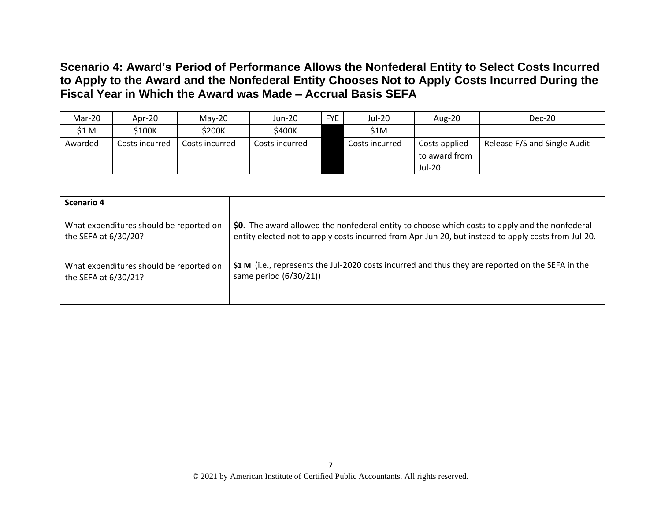**Scenario 4: Award's Period of Performance Allows the Nonfederal Entity to Select Costs Incurred to Apply to the Award and the Nonfederal Entity Chooses Not to Apply Costs Incurred During the Fiscal Year in Which the Award was Made – Accrual Basis SEFA**

| Mar-20  | Apr-20         | $Mav-20$       | Jun-20         | <b>FYE</b> | Jul-20         | Aug-20                                          | Dec-20                       |
|---------|----------------|----------------|----------------|------------|----------------|-------------------------------------------------|------------------------------|
| \$1 M   | \$100K         | \$200K         | \$400K         |            | \$1M           |                                                 |                              |
| Awarded | Costs incurred | Costs incurred | Costs incurred |            | Costs incurred | Costs applied<br>to award from<br><b>Jul-20</b> | Release F/S and Single Audit |

| Scenario 4                              |                                                                                                     |
|-----------------------------------------|-----------------------------------------------------------------------------------------------------|
| What expenditures should be reported on | \$0. The award allowed the nonfederal entity to choose which costs to apply and the nonfederal      |
| the SEFA at 6/30/20?                    | entity elected not to apply costs incurred from Apr-Jun 20, but instead to apply costs from Jul-20. |
| What expenditures should be reported on | \$1 M (i.e., represents the Jul-2020 costs incurred and thus they are reported on the SEFA in the   |
| the SEFA at 6/30/21?                    | same period (6/30/21))                                                                              |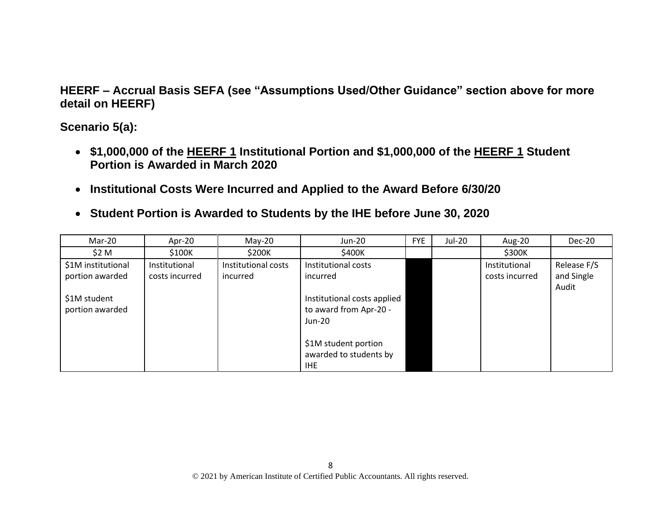**HEERF – Accrual Basis SEFA (see "Assumptions Used/Other Guidance" section above for more detail on HEERF)**

**Scenario 5(a):** 

- **\$1,000,000 of the HEERF 1 Institutional Portion and \$1,000,000 of the HEERF 1 Student Portion is Awarded in March 2020**
- **Institutional Costs Were Incurred and Applied to the Award Before 6/30/20**
- **Student Portion is Awarded to Students by the IHE before June 30, 2020**

| Mar-20                                | Apr-20                          | $May-20$                        | Jun-20                                                            | <b>FYE</b> | Jul-20 | Aug-20                          | Dec-20                             |
|---------------------------------------|---------------------------------|---------------------------------|-------------------------------------------------------------------|------------|--------|---------------------------------|------------------------------------|
| \$2 M                                 | \$100K                          | \$200K                          | \$400K                                                            |            |        | \$300K                          |                                    |
| \$1M institutional<br>portion awarded | Institutional<br>costs incurred | Institutional costs<br>incurred | Institutional costs<br>incurred                                   |            |        | Institutional<br>costs incurred | Release F/S<br>and Single<br>Audit |
| \$1M student<br>portion awarded       |                                 |                                 | Institutional costs applied<br>to award from Apr-20 -<br>$Jun-20$ |            |        |                                 |                                    |
|                                       |                                 |                                 | \$1M student portion<br>awarded to students by<br><b>IHE</b>      |            |        |                                 |                                    |